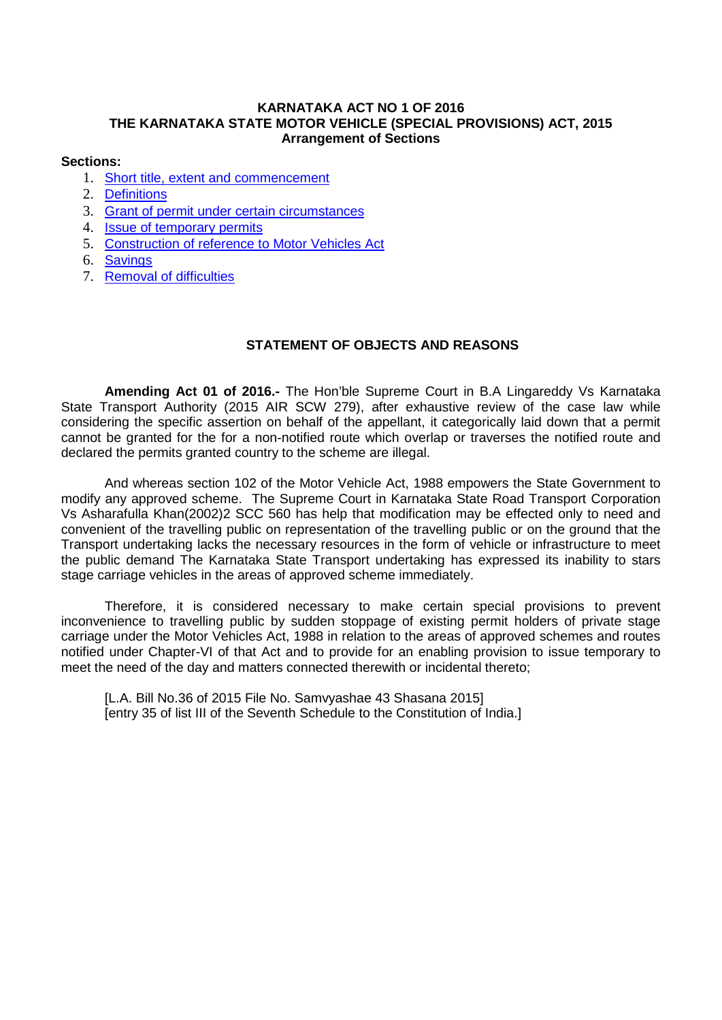## **KARNATAKA ACT NO 1 OF 2016 THE KARNATAKA STATE MOTOR VEHICLE (SPECIAL PROVISIONS) ACT, 2015 Arrangement of Sections**

#### **Sections:**

- 1. [Short title, extent and commencement](#page-1-0)
- 2. [Definitions](#page-1-1)
- 3. [Grant of permit under certain circumstances](#page-2-0)
- 4. [Issue of temporary permits](#page-2-1)
- 5. [Construction of reference to Motor Vehicles Act](#page-2-2)
- 6. [Savings](#page-2-3)
- 7. [Removal of difficulties](#page-2-4)

# **STATEMENT OF OBJECTS AND REASONS**

**Amending Act 01 of 2016.-** The Hon'ble Supreme Court in B.A Lingareddy Vs Karnataka State Transport Authority (2015 AIR SCW 279), after exhaustive review of the case law while considering the specific assertion on behalf of the appellant, it categorically laid down that a permit cannot be granted for the for a non-notified route which overlap or traverses the notified route and declared the permits granted country to the scheme are illegal.

And whereas section 102 of the Motor Vehicle Act, 1988 empowers the State Government to modify any approved scheme. The Supreme Court in Karnataka State Road Transport Corporation Vs Asharafulla Khan(2002)2 SCC 560 has help that modification may be effected only to need and convenient of the travelling public on representation of the travelling public or on the ground that the Transport undertaking lacks the necessary resources in the form of vehicle or infrastructure to meet the public demand The Karnataka State Transport undertaking has expressed its inability to stars stage carriage vehicles in the areas of approved scheme immediately.

Therefore, it is considered necessary to make certain special provisions to prevent inconvenience to travelling public by sudden stoppage of existing permit holders of private stage carriage under the Motor Vehicles Act, 1988 in relation to the areas of approved schemes and routes notified under Chapter-VI of that Act and to provide for an enabling provision to issue temporary to meet the need of the day and matters connected therewith or incidental thereto;

[L.A. Bill No.36 of 2015 File No. Samyyashae 43 Shasana 2015] [entry 35 of list III of the Seventh Schedule to the Constitution of India.]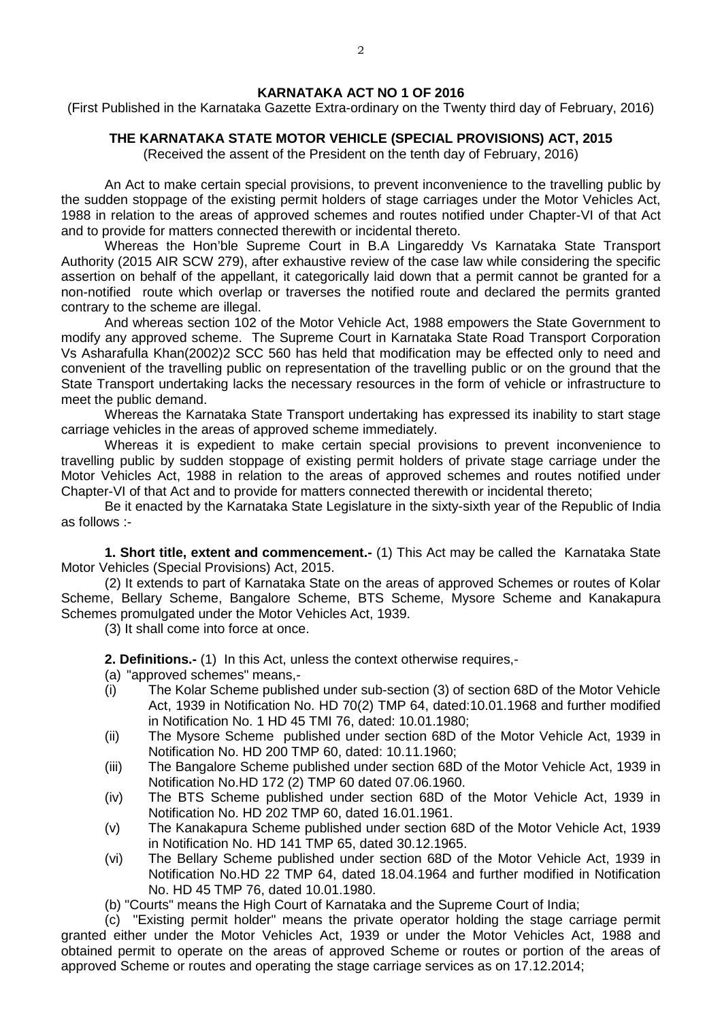## **KARNATAKA ACT NO 1 OF 2016**

(First Published in the Karnataka Gazette Extra-ordinary on the Twenty third day of February, 2016)

## **THE KARNATAKA STATE MOTOR VEHICLE (SPECIAL PROVISIONS) ACT, 2015**

(Received the assent of the President on the tenth day of February, 2016)

An Act to make certain special provisions, to prevent inconvenience to the travelling public by the sudden stoppage of the existing permit holders of stage carriages under the Motor Vehicles Act, 1988 in relation to the areas of approved schemes and routes notified under Chapter-VI of that Act and to provide for matters connected therewith or incidental thereto.

Whereas the Hon'ble Supreme Court in B.A Lingareddy Vs Karnataka State Transport Authority (2015 AIR SCW 279), after exhaustive review of the case law while considering the specific assertion on behalf of the appellant, it categorically laid down that a permit cannot be granted for a non-notified route which overlap or traverses the notified route and declared the permits granted contrary to the scheme are illegal.

And whereas section 102 of the Motor Vehicle Act, 1988 empowers the State Government to modify any approved scheme. The Supreme Court in Karnataka State Road Transport Corporation Vs Asharafulla Khan(2002)2 SCC 560 has held that modification may be effected only to need and convenient of the travelling public on representation of the travelling public or on the ground that the State Transport undertaking lacks the necessary resources in the form of vehicle or infrastructure to meet the public demand.

Whereas the Karnataka State Transport undertaking has expressed its inability to start stage carriage vehicles in the areas of approved scheme immediately.

Whereas it is expedient to make certain special provisions to prevent inconvenience to travelling public by sudden stoppage of existing permit holders of private stage carriage under the Motor Vehicles Act, 1988 in relation to the areas of approved schemes and routes notified under Chapter-VI of that Act and to provide for matters connected therewith or incidental thereto;

Be it enacted by the Karnataka State Legislature in the sixty-sixth year of the Republic of India as follows :-

<span id="page-1-0"></span>**1. Short title, extent and commencement.-** (1) This Act may be called the Karnataka State Motor Vehicles (Special Provisions) Act, 2015.

(2) It extends to part of Karnataka State on the areas of approved Schemes or routes of Kolar Scheme, Bellary Scheme, Bangalore Scheme, BTS Scheme, Mysore Scheme and Kanakapura Schemes promulgated under the Motor Vehicles Act, 1939.

(3) It shall come into force at once.

<span id="page-1-1"></span>**2. Definitions.-** (1) In this Act, unless the context otherwise requires,-

- (a) "approved schemes" means,-
- (i) The Kolar Scheme published under sub-section (3) of section 68D of the Motor Vehicle Act, 1939 in Notification No. HD 70(2) TMP 64, dated:10.01.1968 and further modified in Notification No. 1 HD 45 TMI 76, dated: 10.01.1980;
- (ii) The Mysore Scheme published under section 68D of the Motor Vehicle Act, 1939 in Notification No. HD 200 TMP 60, dated: 10.11.1960;
- (iii) The Bangalore Scheme published under section 68D of the Motor Vehicle Act, 1939 in Notification No.HD 172 (2) TMP 60 dated 07.06.1960.
- (iv) The BTS Scheme published under section 68D of the Motor Vehicle Act, 1939 in Notification No. HD 202 TMP 60, dated 16.01.1961.
- (v) The Kanakapura Scheme published under section 68D of the Motor Vehicle Act, 1939 in Notification No. HD 141 TMP 65, dated 30.12.1965.
- (vi) The Bellary Scheme published under section 68D of the Motor Vehicle Act, 1939 in Notification No.HD 22 TMP 64, dated 18.04.1964 and further modified in Notification No. HD 45 TMP 76, dated 10.01.1980.
- (b) "Courts" means the High Court of Karnataka and the Supreme Court of India;

(c) "Existing permit holder" means the private operator holding the stage carriage permit granted either under the Motor Vehicles Act, 1939 or under the Motor Vehicles Act, 1988 and obtained permit to operate on the areas of approved Scheme or routes or portion of the areas of approved Scheme or routes and operating the stage carriage services as on 17.12.2014;